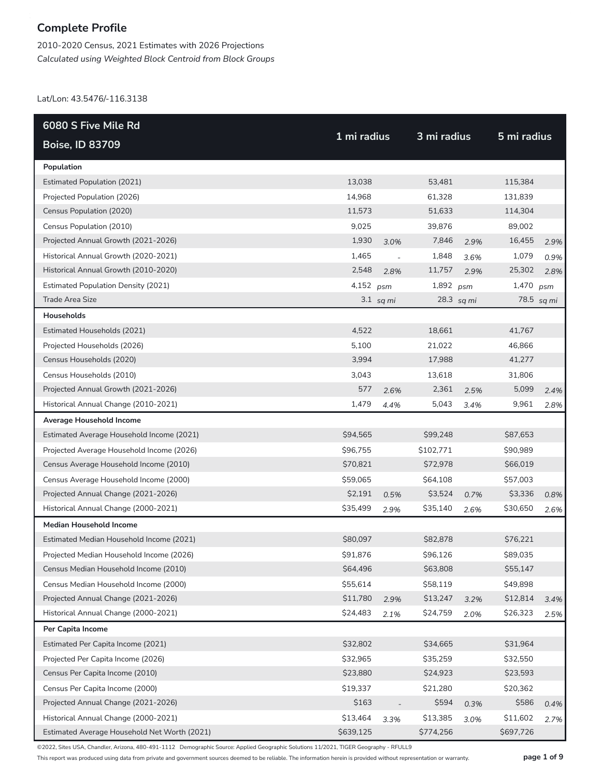2010-2020 Census, 2021 Estimates with 2026 Projections *Calculated using Weighted Block Centroid from Block Groups*

Lat/Lon: 43.5476/-116.3138

| 6080 S Five Mile Rd                          |             |                          |             |            |             |            |
|----------------------------------------------|-------------|--------------------------|-------------|------------|-------------|------------|
| <b>Boise, ID 83709</b>                       | 1 mi radius |                          | 3 mi radius |            | 5 mi radius |            |
| Population                                   |             |                          |             |            |             |            |
| <b>Estimated Population (2021)</b>           | 13,038      |                          | 53,481      |            | 115,384     |            |
| Projected Population (2026)                  | 14,968      |                          | 61,328      |            | 131,839     |            |
| Census Population (2020)                     | 11,573      |                          | 51,633      |            | 114,304     |            |
| Census Population (2010)                     | 9,025       |                          | 39,876      |            | 89,002      |            |
| Projected Annual Growth (2021-2026)          | 1,930       | 3.0%                     | 7,846       | 2.9%       | 16,455      | 2.9%       |
| Historical Annual Growth (2020-2021)         | 1,465       | $\overline{\phantom{a}}$ | 1,848       | 3.6%       | 1,079       | 0.9%       |
| Historical Annual Growth (2010-2020)         | 2,548       | 2.8%                     | 11,757      | 2.9%       | 25,302      | 2.8%       |
| <b>Estimated Population Density (2021)</b>   | 4,152 psm   |                          | 1,892 $psm$ |            | 1,470 psm   |            |
| Trade Area Size                              |             | $3.1$ sq mi              |             | 28.3 sq mi |             | 78.5 sq mi |
| Households                                   |             |                          |             |            |             |            |
| Estimated Households (2021)                  | 4,522       |                          | 18,661      |            | 41,767      |            |
| Projected Households (2026)                  | 5,100       |                          | 21,022      |            | 46,866      |            |
| Census Households (2020)                     | 3,994       |                          | 17,988      |            | 41,277      |            |
| Census Households (2010)                     | 3,043       |                          | 13,618      |            | 31,806      |            |
| Projected Annual Growth (2021-2026)          | 577         | 2.6%                     | 2,361       | 2.5%       | 5,099       | 2.4%       |
| Historical Annual Change (2010-2021)         | 1,479       | 4.4%                     | 5,043       | 3.4%       | 9,961       | 2.8%       |
| Average Household Income                     |             |                          |             |            |             |            |
| Estimated Average Household Income (2021)    | \$94,565    |                          | \$99,248    |            | \$87,653    |            |
| Projected Average Household Income (2026)    | \$96,755    |                          | \$102,771   |            | \$90,989    |            |
| Census Average Household Income (2010)       | \$70,821    |                          | \$72,978    |            | \$66,019    |            |
| Census Average Household Income (2000)       | \$59,065    |                          | \$64,108    |            | \$57,003    |            |
| Projected Annual Change (2021-2026)          | \$2,191     | 0.5%                     | \$3,524     | 0.7%       | \$3,336     | 0.8%       |
| Historical Annual Change (2000-2021)         | \$35,499    | 2.9%                     | \$35,140    | 2.6%       | \$30,650    | 2.6%       |
| <b>Median Household Income</b>               |             |                          |             |            |             |            |
| Estimated Median Household Income (2021)     | \$80,097    |                          | \$82,878    |            | \$76,221    |            |
| Projected Median Household Income (2026)     | \$91,876    |                          | \$96,126    |            | \$89,035    |            |
| Census Median Household Income (2010)        | \$64,496    |                          | \$63,808    |            | \$55,147    |            |
| Census Median Household Income (2000)        | \$55,614    |                          | \$58,119    |            | \$49,898    |            |
| Projected Annual Change (2021-2026)          | \$11,780    | 2.9%                     | \$13,247    | 3.2%       | \$12,814    | 3.4%       |
| Historical Annual Change (2000-2021)         | \$24,483    | 2.1%                     | \$24,759    | 2.0%       | \$26,323    | 2.5%       |
| Per Capita Income                            |             |                          |             |            |             |            |
| Estimated Per Capita Income (2021)           | \$32,802    |                          | \$34,665    |            | \$31,964    |            |
| Projected Per Capita Income (2026)           | \$32,965    |                          | \$35,259    |            | \$32,550    |            |
| Census Per Capita Income (2010)              | \$23,880    |                          | \$24,923    |            | \$23,593    |            |
| Census Per Capita Income (2000)              | \$19,337    |                          | \$21,280    |            | \$20,362    |            |
| Projected Annual Change (2021-2026)          | \$163       |                          | \$594       | 0.3%       | \$586       | 0.4%       |
| Historical Annual Change (2000-2021)         | \$13,464    | 3.3%                     | \$13,385    | 3.0%       | \$11,602    | 2.7%       |
| Estimated Average Household Net Worth (2021) | \$639,125   |                          | \$774,256   |            | \$697,726   |            |

©2022, Sites USA, Chandler, Arizona, 480-491-1112 Demographic Source: Applied Geographic Solutions 11/2021, TIGER Geography - RFULL9

This report was produced using data from private and government sources deemed to be reliable. The information herein is provided without representation or warranty. **page 1 of 9**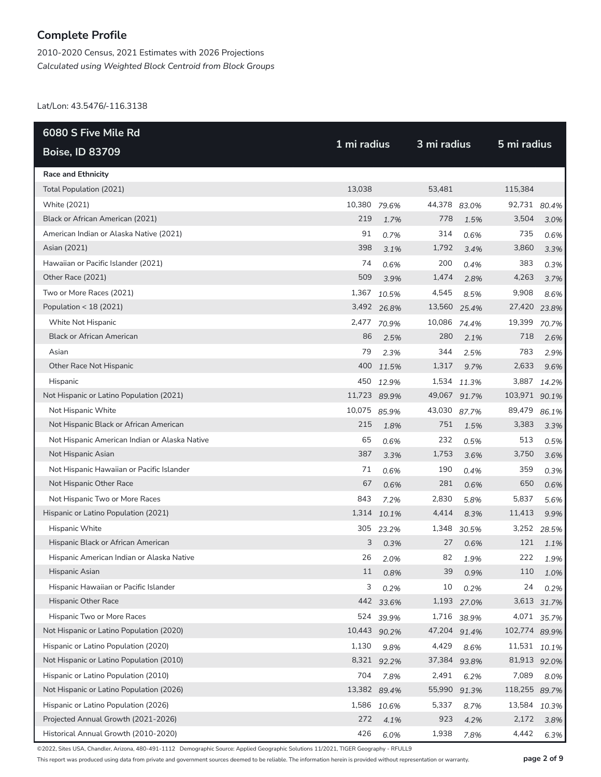2010-2020 Census, 2021 Estimates with 2026 Projections *Calculated using Weighted Block Centroid from Block Groups*

Lat/Lon: 43.5476/-116.3138

| 6080 S Five Mile Rd                           | 1 mi radius  |             |              | 3 mi radius |               |       |  |
|-----------------------------------------------|--------------|-------------|--------------|-------------|---------------|-------|--|
| <b>Boise, ID 83709</b>                        |              |             |              |             | 5 mi radius   |       |  |
| <b>Race and Ethnicity</b>                     |              |             |              |             |               |       |  |
| Total Population (2021)                       | 13,038       |             | 53,481       |             | 115,384       |       |  |
| White (2021)                                  | 10,380 79.6% |             | 44,378 83.0% |             | 92,731        | 80.4% |  |
| Black or African American (2021)              | 219          | 1.7%        | 778          | 1.5%        | 3,504         | 3.0%  |  |
| American Indian or Alaska Native (2021)       | 91           | 0.7%        | 314          | 0.6%        | 735           | 0.6%  |  |
| Asian (2021)                                  | 398          | 3.1%        | 1,792        | 3.4%        | 3,860         | 3.3%  |  |
| Hawaiian or Pacific Islander (2021)           | 74           | 0.6%        | 200          | 0.4%        | 383           | 0.3%  |  |
| Other Race (2021)                             | 509          | 3.9%        | 1,474        | 2.8%        | 4,263         | 3.7%  |  |
| Two or More Races (2021)                      | 1,367        | 10.5%       | 4,545        | 8.5%        | 9,908         | 8.6%  |  |
| Population < 18 (2021)                        |              | 3,492 26.8% | 13,560 25.4% |             | 27,420        | 23.8% |  |
| White Not Hispanic                            |              | 2,477 70.9% | 10,086 74.4% |             | 19,399        | 70.7% |  |
| <b>Black or African American</b>              | 86           | 2.5%        | 280          | 2.1%        | 718           | 2.6%  |  |
| Asian                                         | 79           | 2.3%        | 344          | 2.5%        | 783           | 2.9%  |  |
| Other Race Not Hispanic                       | 400          | 11.5%       | 1,317        | 9.7%        | 2,633         | 9.6%  |  |
| Hispanic                                      | 450          | 12.9%       |              | 1,534 11.3% | 3,887         | 14.2% |  |
| Not Hispanic or Latino Population (2021)      | 11,723 89.9% |             | 49,067 91.7% |             | 103,971       | 90.1% |  |
| Not Hispanic White                            | 10,075       | 85.9%       | 43,030       | 87.7%       | 89,479        | 86.1% |  |
| Not Hispanic Black or African American        | 215          | 1.8%        | 751          | 1.5%        | 3,383         | 3.3%  |  |
| Not Hispanic American Indian or Alaska Native | 65           | 0.6%        | 232          | 0.5%        | 513           | 0.5%  |  |
| Not Hispanic Asian                            | 387          | 3.3%        | 1,753        | 3.6%        | 3,750         | 3.6%  |  |
| Not Hispanic Hawaiian or Pacific Islander     | 71           | 0.6%        | 190          | 0.4%        | 359           | 0.3%  |  |
| Not Hispanic Other Race                       | 67           | 0.6%        | 281          | 0.6%        | 650           | 0.6%  |  |
| Not Hispanic Two or More Races                | 843          | 7.2%        | 2,830        | 5.8%        | 5,837         | 5.6%  |  |
| Hispanic or Latino Population (2021)          |              | 1,314 10.1% | 4,414        | 8.3%        | 11,413        | 9.9%  |  |
| Hispanic White                                | 305          | 23.2%       | 1,348        | 30.5%       | 3,252         | 28.5% |  |
| Hispanic Black or African American            | 3            | 0.3%        | 27           | 0.6%        | 121           | 1.1%  |  |
| Hispanic American Indian or Alaska Native     | 26           | 2.0%        | 82           | 1.9%        | 222           | 1.9%  |  |
| Hispanic Asian                                | 11           | 0.8%        | 39           | 0.9%        | 110           | 1.0%  |  |
| Hispanic Hawaiian or Pacific Islander         | 3            | 0.2%        | 10           | 0.2%        | 24            | 0.2%  |  |
| Hispanic Other Race                           |              | 442 33.6%   | 1,193        | 27.0%       | 3,613         | 31.7% |  |
| Hispanic Two or More Races                    | 524          | 39.9%       | 1,716        | 38.9%       | 4,071         | 35.7% |  |
| Not Hispanic or Latino Population (2020)      | 10,443       | 90.2%       | 47,204 91.4% |             | 102,774 89.9% |       |  |
| Hispanic or Latino Population (2020)          | 1,130        | 9.8%        | 4,429        | 8.6%        | 11,531        | 10.1% |  |
| Not Hispanic or Latino Population (2010)      | 8,321        | 92.2%       | 37,384       | 93.8%       | 81,913 92.0%  |       |  |
| Hispanic or Latino Population (2010)          | 704          | 7.8%        | 2,491        | 6.2%        | 7,089         | 8.0%  |  |
| Not Hispanic or Latino Population (2026)      | 13,382       | 89.4%       | 55,990       | 91.3%       | 118,255 89.7% |       |  |
| Hispanic or Latino Population (2026)          |              | 1,586 10.6% | 5,337        | 8.7%        | 13,584        | 10.3% |  |
| Projected Annual Growth (2021-2026)           | 272          | 4.1%        | 923          | 4.2%        | 2,172         | 3.8%  |  |
| Historical Annual Growth (2010-2020)          | 426          | 6.0%        | 1,938        | 7.8%        | 4,442         | 6.3%  |  |

©2022, Sites USA, Chandler, Arizona, 480-491-1112 Demographic Source: Applied Geographic Solutions 11/2021, TIGER Geography - RFULL9

This report was produced using data from private and government sources deemed to be reliable. The information herein is provided without representation or warranty. **page 2 of 9**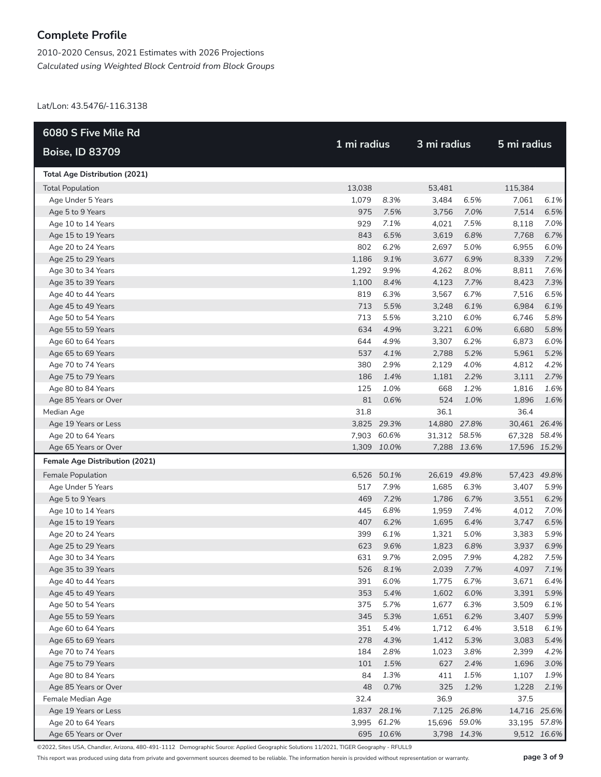2010-2020 Census, 2021 Estimates with 2026 Projections *Calculated using Weighted Block Centroid from Block Groups*

Lat/Lon: 43.5476/-116.3138

| 6080 S Five Mile Rd                      |            |              |                | 3 mi radius  |                |              |
|------------------------------------------|------------|--------------|----------------|--------------|----------------|--------------|
| <b>Boise, ID 83709</b>                   |            | 1 mi radius  |                |              | 5 mi radius    |              |
| <b>Total Age Distribution (2021)</b>     |            |              |                |              |                |              |
| <b>Total Population</b>                  | 13,038     |              | 53,481         |              | 115,384        |              |
| Age Under 5 Years                        | 1,079      | 8.3%         | 3,484          | 6.5%         | 7,061          | 6.1%         |
| Age 5 to 9 Years                         | 975        | 7.5%         | 3,756          | 7.0%         | 7,514          | 6.5%         |
| Age 10 to 14 Years                       | 929        | 7.1%         | 4,021          | 7.5%         | 8,118          | 7.0%         |
| Age 15 to 19 Years                       | 843        | 6.5%         | 3,619          | 6.8%         | 7,768          | 6.7%         |
| Age 20 to 24 Years                       | 802        | 6.2%         | 2,697          | 5.0%         | 6,955          | 6.0%         |
| Age 25 to 29 Years                       | 1,186      | 9.1%         | 3,677          | 6.9%         | 8,339          | 7.2%         |
| Age 30 to 34 Years                       | 1,292      | 9.9%         | 4,262          | 8.0%         | 8,811          | 7.6%         |
| Age 35 to 39 Years                       | 1,100      | 8.4%         | 4,123          | 7.7%         | 8,423          | 7.3%         |
| Age 40 to 44 Years                       | 819        | 6.3%         | 3,567          | 6.7%         | 7,516          | 6.5%         |
| Age 45 to 49 Years                       | 713        | 5.5%         | 3,248          | 6.1%         | 6,984          | 6.1%         |
| Age 50 to 54 Years                       | 713        | 5.5%         | 3,210          | 6.0%         | 6,746          | 5.8%         |
| Age 55 to 59 Years                       | 634        | 4.9%         | 3,221          | 6.0%         | 6,680          | 5.8%         |
| Age 60 to 64 Years                       | 644        | 4.9%         | 3,307          | 6.2%         | 6,873          | 6.0%         |
| Age 65 to 69 Years                       | 537        | 4.1%         | 2,788          | 5.2%         | 5,961          | 5.2%         |
| Age 70 to 74 Years                       | 380        | 2.9%         | 2,129          | 4.0%         | 4,812          | 4.2%         |
| Age 75 to 79 Years                       | 186        | 1.4%         | 1,181          | 2.2%         | 3,111          | 2.7%         |
| Age 80 to 84 Years                       | 125        | 1.0%         | 668            | 1.2%         | 1,816          | 1.6%         |
| Age 85 Years or Over                     | 81         | 0.6%         | 524            | 1.0%         | 1,896          | 1.6%         |
| Median Age                               | 31.8       |              | 36.1           |              | 36.4           |              |
| Age 19 Years or Less                     |            | 3,825 29.3%  | 14,880 27.8%   |              | 30,461 26.4%   |              |
| Age 20 to 64 Years                       |            | 7,903 60.6%  | 31,312 58.5%   |              | 67,328 58.4%   |              |
| Age 65 Years or Over                     |            | 1,309 10.0%  |                | 7,288 13.6%  | 17,596 15.2%   |              |
| Female Age Distribution (2021)           |            |              |                |              |                |              |
| Female Population                        |            | 6,526 50.1%  | 26,619 49.8%   |              | 57,423 49.8%   |              |
| Age Under 5 Years                        | 517        | 7.9%         | 1,685          | 6.3%         | 3,407          | 5.9%         |
| Age 5 to 9 Years                         | 469        | 7.2%         | 1,786          | 6.7%         | 3,551          | 6.2%         |
| Age 10 to 14 Years                       | 445        | 6.8%         | 1,959          | 7.4%         | 4,012          | 7.0%         |
| Age 15 to 19 Years                       | 407        | 6.2%         | 1,695          | 6.4%         | 3,747          | 6.5%         |
| Age 20 to 24 Years                       | 399        | 6.1%         | 1,321          | 5.0%         | 3,383          | 5.9%         |
| Age 25 to 29 Years                       | 623        | 9.6%         | 1,823          | 6.8%         | 3,937          | 6.9%         |
| Age 30 to 34 Years                       | 631        | 9.7%         | 2,095          | 7.9%         | 4,282          | 7.5%         |
| Age 35 to 39 Years                       |            | 526 8.1%     | 2,039          | 7.7%         | 4,097          | 7.1%         |
| Age 40 to 44 Years                       | 391        | 6.0%         | 1,775          | 6.7%         | 3,671          | 6.4%         |
| Age 45 to 49 Years                       | 353        | 5.4%         | 1,602          | 6.0%         | 3,391          | 5.9%         |
| Age 50 to 54 Years                       | 375<br>345 | 5.7%         | 1,677          | 6.3%         | 3,509          | 6.1%         |
| Age 55 to 59 Years                       | 351        | 5.3%<br>5.4% | 1,651          | 6.2%         | 3,407          | 5.9%         |
| Age 60 to 64 Years<br>Age 65 to 69 Years | 278        |              | 1,712          | 6.4%         | 3,518          | 6.1%         |
| Age 70 to 74 Years                       | 184        | 4.3%<br>2.8% | 1,412<br>1,023 | 5.3%<br>3.8% | 3,083<br>2,399 | 5.4%<br>4.2% |
| Age 75 to 79 Years                       | 101        | 1.5%         | 627            | 2.4%         | 1,696          | 3.0%         |
| Age 80 to 84 Years                       | 84         | 1.3%         | 411            | 1.5%         | 1,107          | 1.9%         |
| Age 85 Years or Over                     | 48         | 0.7%         | 325            | 1.2%         | 1,228          | 2.1%         |
| Female Median Age                        | 32.4       |              | 36.9           |              | 37.5           |              |
| Age 19 Years or Less                     |            | 1,837 28.1%  |                | 7,125 26.8%  | 14,716 25.6%   |              |
| Age 20 to 64 Years                       |            | 3,995 61.2%  | 15,696 59.0%   |              | 33,195 57.8%   |              |
| Age 65 Years or Over                     |            | 695 10.6%    |                | 3,798 14.3%  |                | 9,512 16.6%  |

©2022, Sites USA, Chandler, Arizona, 480-491-1112 Demographic Source: Applied Geographic Solutions 11/2021, TIGER Geography - RFULL9

This report was produced using data from private and government sources deemed to be reliable. The information herein is provided without representation or warranty. **page 3 of 9**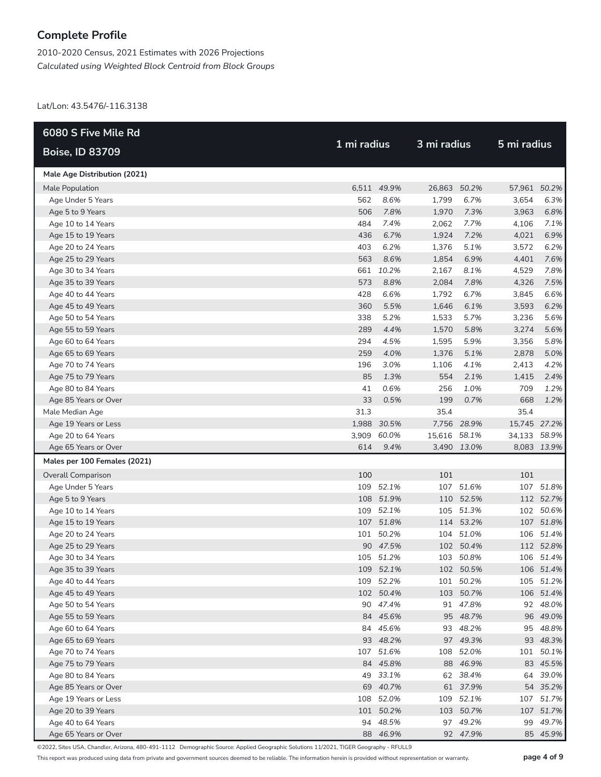2010-2020 Census, 2021 Estimates with 2026 Projections *Calculated using Weighted Block Centroid from Block Groups*

Lat/Lon: 43.5476/-116.3138

| 6080 S Five Mile Rd          |             |             |              |             | 5 mi radius  |             |  |
|------------------------------|-------------|-------------|--------------|-------------|--------------|-------------|--|
| <b>Boise, ID 83709</b>       | 1 mi radius |             | 3 mi radius  |             |              |             |  |
| Male Age Distribution (2021) |             |             |              |             |              |             |  |
| Male Population              |             | 6,511 49.9% | 26,863 50.2% |             | 57,961 50.2% |             |  |
| Age Under 5 Years            | 562         | 8.6%        | 1,799        | 6.7%        | 3,654        | 6.3%        |  |
| Age 5 to 9 Years             | 506         | 7.8%        | 1,970        | 7.3%        | 3,963        | 6.8%        |  |
| Age 10 to 14 Years           | 484         | 7.4%        | 2,062        | 7.7%        | 4,106        | 7.1%        |  |
| Age 15 to 19 Years           | 436         | 6.7%        | 1,924        | 7.2%        | 4,021        | 6.9%        |  |
| Age 20 to 24 Years           | 403         | 6.2%        | 1,376        | 5.1%        | 3,572        | 6.2%        |  |
| Age 25 to 29 Years           | 563         | 8.6%        | 1,854        | 6.9%        | 4,401        | 7.6%        |  |
| Age 30 to 34 Years           |             | 661 10.2%   | 2,167        | 8.1%        | 4,529        | 7.8%        |  |
| Age 35 to 39 Years           | 573         | 8.8%        | 2,084        | 7.8%        | 4,326        | 7.5%        |  |
| Age 40 to 44 Years           | 428         | 6.6%        | 1,792        | 6.7%        | 3,845        | 6.6%        |  |
| Age 45 to 49 Years           | 360         | 5.5%        | 1,646        | 6.1%        | 3,593        | 6.2%        |  |
| Age 50 to 54 Years           | 338         | 5.2%        | 1,533        | 5.7%        | 3,236        | 5.6%        |  |
| Age 55 to 59 Years           | 289         | 4.4%        | 1,570        | 5.8%        | 3,274        | 5.6%        |  |
| Age 60 to 64 Years           | 294         | 4.5%        | 1,595        | 5.9%        | 3,356        | 5.8%        |  |
| Age 65 to 69 Years           | 259         | 4.0%        | 1,376        | 5.1%        | 2,878        | 5.0%        |  |
| Age 70 to 74 Years           | 196         | 3.0%        | 1,106        | 4.1%        | 2,413        | 4.2%        |  |
| Age 75 to 79 Years           | 85          | 1.3%        | 554          | 2.1%        | 1,415        | 2.4%        |  |
| Age 80 to 84 Years           | 41          | 0.6%        | 256          | 1.0%        | 709          | 1.2%        |  |
| Age 85 Years or Over         | 33          | 0.5%        | 199          | 0.7%        | 668          | 1.2%        |  |
| Male Median Age              | 31.3        |             | 35.4         |             | 35.4         |             |  |
| Age 19 Years or Less         |             | 1,988 30.5% |              | 7,756 28.9% | 15,745 27.2% |             |  |
| Age 20 to 64 Years           | 3,909       | 60.0%       | 15,616 58.1% |             | 34,133 58.9% |             |  |
| Age 65 Years or Over         | 614         | 9.4%        |              | 3,490 13.0% |              | 8,083 13.9% |  |
| Males per 100 Females (2021) |             |             |              |             |              |             |  |
| <b>Overall Comparison</b>    | 100         |             | 101          |             | 101          |             |  |
| Age Under 5 Years            |             | 109 52.1%   |              | 107 51.6%   |              | 107 51.8%   |  |
| Age 5 to 9 Years             |             | 108 51.9%   | 110          | 52.5%       |              | 112 52.7%   |  |
| Age 10 to 14 Years           |             | 109 52.1%   |              | 105 51.3%   |              | 102 50.6%   |  |
| Age 15 to 19 Years           |             | 107 51.8%   |              | 114 53.2%   |              | 107 51.8%   |  |
| Age 20 to 24 Years           |             | 101 50.2%   |              | 104 51.0%   |              | 106 51.4%   |  |
| Age 25 to 29 Years           |             | 90 47.5%    |              | 102 50.4%   |              | 112 52.8%   |  |
| Age 30 to 34 Years           |             | 105 51.2%   |              | 103 50.8%   |              | 106 51.4%   |  |
| Age 35 to 39 Years           |             | 109 52.1%   |              | 102 50.5%   |              | 106 51.4%   |  |
| Age 40 to 44 Years           |             | 109 52.2%   |              | 101 50.2%   |              | 105 51.2%   |  |
| Age 45 to 49 Years           |             | 102 50.4%   |              | 103 50.7%   |              | 106 51.4%   |  |
| Age 50 to 54 Years           |             | 90 47.4%    |              | 91 47.8%    |              | 92 48.0%    |  |
| Age 55 to 59 Years           |             | 84 45.6%    |              | 95 48.7%    |              | 96 49.0%    |  |
| Age 60 to 64 Years           |             | 84 45.6%    |              | 93 48.2%    |              | 95 48.8%    |  |
| Age 65 to 69 Years           |             | 93 48.2%    |              | 97 49.3%    |              | 93 48.3%    |  |
| Age 70 to 74 Years           |             | 107 51.6%   | 108          | 52.0%       |              | 101 50.1%   |  |
| Age 75 to 79 Years           |             | 84 45.8%    |              | 88 46.9%    |              | 83 45.5%    |  |
| Age 80 to 84 Years           |             | 49 33.1%    |              | 62 38.4%    |              | 64 39.0%    |  |
| Age 85 Years or Over         |             | 69 40.7%    |              | 61 37.9%    |              | 54 35.2%    |  |
| Age 19 Years or Less         |             | 108 52.0%   |              | 109 52.1%   |              | 107 51.7%   |  |
| Age 20 to 39 Years           |             | 101 50.2%   |              | 103 50.7%   |              | 107 51.7%   |  |
| Age 40 to 64 Years           |             | 94 48.5%    |              | 97 49.2%    | 99           | 49.7%       |  |
| Age 65 Years or Over         |             | 88 46.9%    |              | 92 47.9%    |              | 85 45.9%    |  |

©2022, Sites USA, Chandler, Arizona, 480-491-1112 Demographic Source: Applied Geographic Solutions 11/2021, TIGER Geography - RFULL9

This report was produced using data from private and government sources deemed to be reliable. The information herein is provided without representation or warranty. **page 4 of 9**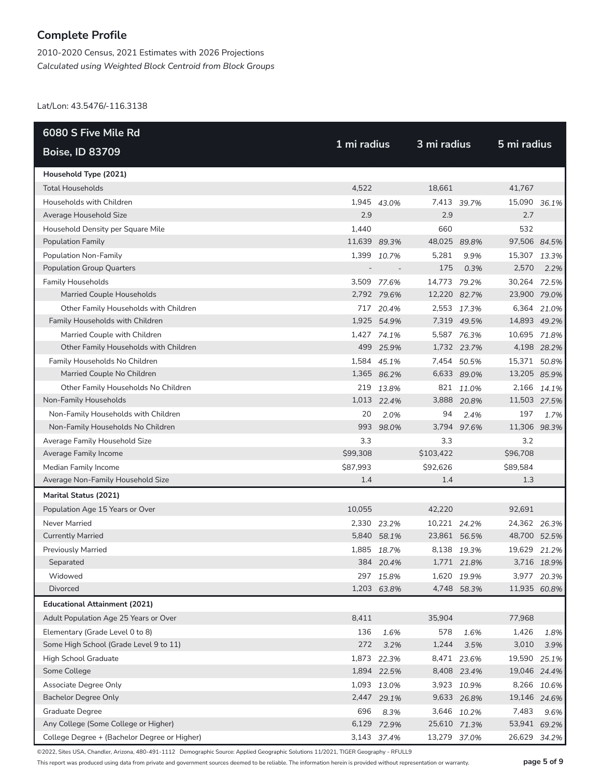2010-2020 Census, 2021 Estimates with 2026 Projections *Calculated using Weighted Block Centroid from Block Groups*

Lat/Lon: 43.5476/-116.3138

| 6080 S Five Mile Rd                          |              |             |              |             |              |             |
|----------------------------------------------|--------------|-------------|--------------|-------------|--------------|-------------|
| <b>Boise, ID 83709</b>                       | 1 mi radius  |             | 3 mi radius  |             | 5 mi radius  |             |
| Household Type (2021)                        |              |             |              |             |              |             |
| <b>Total Households</b>                      | 4,522        |             | 18,661       |             | 41,767       |             |
| Households with Children                     |              | 1,945 43.0% |              | 7,413 39.7% | 15,090 36.1% |             |
| Average Household Size                       | 2.9          |             | 2.9          |             | 2.7          |             |
| Household Density per Square Mile            | 1,440        |             | 660          |             | 532          |             |
| <b>Population Family</b>                     | 11,639 89.3% |             | 48,025 89.8% |             | 97,506 84.5% |             |
| Population Non-Family                        | 1,399        | 10.7%       | 5,281        | 9.9%        | 15,307 13.3% |             |
| <b>Population Group Quarters</b>             |              |             | 175          | 0.3%        | 2,570        | 2.2%        |
| <b>Family Households</b>                     |              | 3,509 77.6% | 14,773 79.2% |             | 30,264 72.5% |             |
| Married Couple Households                    |              | 2,792 79.6% | 12,220 82.7% |             | 23,900 79.0% |             |
| Other Family Households with Children        |              | 717 20.4%   |              | 2,553 17.3% |              | 6,364 21.0% |
| Family Households with Children              |              | 1,925 54.9% |              | 7,319 49.5% | 14,893 49.2% |             |
| Married Couple with Children                 |              | 1,427 74.1% |              | 5,587 76.3% | 10,695 71.8% |             |
| Other Family Households with Children        |              | 499 25.9%   |              | 1,732 23.7% |              | 4,198 28.2% |
| Family Households No Children                |              | 1,584 45.1% |              | 7,454 50.5% | 15,371 50.8% |             |
| Married Couple No Children                   |              | 1,365 86.2% |              | 6,633 89.0% | 13,205 85.9% |             |
| Other Family Households No Children          |              | 219 13.8%   |              | 821 11.0%   |              | 2,166 14.1% |
| Non-Family Households                        |              | 1,013 22.4% |              | 3,888 20.8% | 11,503 27.5% |             |
| Non-Family Households with Children          | 20           | 2.0%        | 94           | 2.4%        | 197          | 1.7%        |
| Non-Family Households No Children            |              | 993 98.0%   |              | 3,794 97.6% | 11,306 98.3% |             |
| Average Family Household Size                | 3.3          |             | 3.3          |             | 3.2          |             |
| Average Family Income                        | \$99,308     |             | \$103,422    |             | \$96,708     |             |
| Median Family Income                         | \$87,993     |             | \$92,626     |             | \$89,584     |             |
| Average Non-Family Household Size            | 1.4          |             | 1.4          |             | 1.3          |             |
| Marital Status (2021)                        |              |             |              |             |              |             |
| Population Age 15 Years or Over              | 10,055       |             | 42,220       |             | 92,691       |             |
| Never Married                                |              | 2,330 23.2% | 10,221 24.2% |             | 24,362 26.3% |             |
| <b>Currently Married</b>                     |              | 5,840 58.1% | 23,861 56.5% |             | 48,700 52.5% |             |
| <b>Previously Married</b>                    | 1,885        | 18.7%       |              | 8,138 19.3% | 19,629       | 21.2%       |
| Separated                                    |              | 384 20.4%   |              | 1,771 21.8% |              | 3,716 18.9% |
| Widowed                                      |              | 297 15.8%   |              | 1,620 19.9% |              | 3,977 20.3% |
| <b>Divorced</b>                              |              | 1,203 63.8% |              | 4,748 58.3% | 11,935 60.8% |             |
| <b>Educational Attainment (2021)</b>         |              |             |              |             |              |             |
| Adult Population Age 25 Years or Over        | 8,411        |             | 35,904       |             | 77,968       |             |
| Elementary (Grade Level 0 to 8)              | 136          | 1.6%        | 578          | 1.6%        | 1,426        | 1.8%        |
| Some High School (Grade Level 9 to 11)       | 272          | 3.2%        | 1,244        | 3.5%        | 3,010        | 3.9%        |
| High School Graduate                         |              | 1,873 22.3% |              | 8,471 23.6% | 19,590       | 25.1%       |
| Some College                                 |              | 1,894 22.5% |              | 8,408 23.4% | 19,046 24.4% |             |
| Associate Degree Only                        |              | 1,093 13.0% |              | 3,923 10.9% | 8,266        | 10.6%       |
| <b>Bachelor Degree Only</b>                  |              | 2,447 29.1% |              | 9,633 26.8% | 19,146 24.6% |             |
| Graduate Degree                              | 696          | 8.3%        |              | 3,646 10.2% | 7,483        | 9.6%        |
| Any College (Some College or Higher)         |              | 6,129 72.9% | 25,610 71.3% |             | 53,941 69.2% |             |
| College Degree + (Bachelor Degree or Higher) |              | 3,143 37.4% | 13,279 37.0% |             | 26,629       | 34.2%       |

©2022, Sites USA, Chandler, Arizona, 480-491-1112 Demographic Source: Applied Geographic Solutions 11/2021, TIGER Geography - RFULL9

This report was produced using data from private and government sources deemed to be reliable. The information herein is provided without representation or warranty. **page 5 of 9**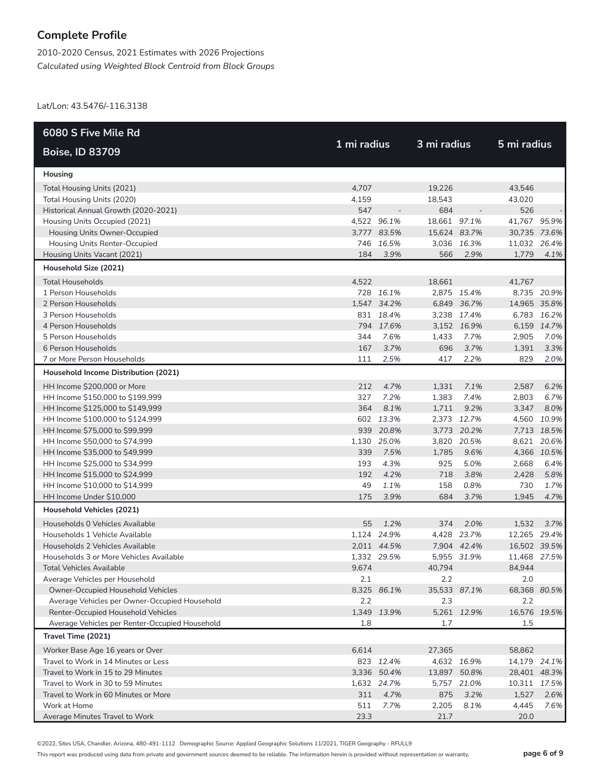2010-2020 Census, 2021 Estimates with 2026 Projections *Calculated using Weighted Block Centroid from Block Groups*

Lat/Lon: 43.5476/-116.3138

| 6080 S Five Mile Rd                            |             |             |              |             |              |             |
|------------------------------------------------|-------------|-------------|--------------|-------------|--------------|-------------|
| <b>Boise, ID 83709</b>                         | 1 mi radius |             | 3 mi radius  |             | 5 mi radius  |             |
| Housing                                        |             |             |              |             |              |             |
| Total Housing Units (2021)                     | 4,707       |             | 19,226       |             | 43,546       |             |
| Total Housing Units (2020)                     | 4,159       |             | 18,543       |             | 43,020       |             |
| Historical Annual Growth (2020-2021)           | 547         |             | 684          |             | 526          |             |
| Housing Units Occupied (2021)                  |             | 4,522 96.1% | 18,661 97.1% |             | 41,767 95.9% |             |
| Housing Units Owner-Occupied                   |             | 3,777 83.5% | 15,624 83.7% |             | 30,735 73.6% |             |
| Housing Units Renter-Occupied                  |             | 746 16.5%   |              | 3,036 16.3% | 11,032 26.4% |             |
| Housing Units Vacant (2021)                    | 184         | 3.9%        | 566          | 2.9%        | 1,779        | 4.1%        |
| Household Size (2021)                          |             |             |              |             |              |             |
| <b>Total Households</b>                        | 4,522       |             | 18,661       |             | 41,767       |             |
| 1 Person Households                            |             | 728 16.1%   |              | 2,875 15.4% |              | 8,735 20.9% |
| 2 Person Households                            |             | 1,547 34.2% |              | 6,849 36.7% | 14,965 35.8% |             |
| 3 Person Households                            |             | 831 18.4%   |              | 3,238 17.4% |              | 6,783 16.2% |
| 4 Person Households                            |             | 794 17.6%   |              | 3,152 16.9% |              | 6,159 14.7% |
| 5 Person Households                            | 344         | 7.6%        | 1,433        | 7.7%        | 2,905        | 7.0%        |
| 6 Person Households                            | 167         | 3.7%        | 696          | 3.7%        | 1,391        | 3.3%        |
| 7 or More Person Households                    | 111         | 2.5%        | 417          | 2.2%        | 829          | 2.0%        |
| Household Income Distribution (2021)           |             |             |              |             |              |             |
| HH Income \$200,000 or More                    | 212         | 4.7%        | 1,331        | 7.1%        | 2,587        | 6.2%        |
| HH Income \$150,000 to \$199,999               | 327         | 7.2%        | 1,383        | 7.4%        | 2,803        | 6.7%        |
| HH Income \$125,000 to \$149,999               | 364         | 8.1%        | 1,711        | 9.2%        | 3,347        | 8.0%        |
| HH Income \$100,000 to \$124,999               |             | 602 13.3%   | 2,373        | 12.7%       | 4,560        | 10.9%       |
| HH Income \$75,000 to \$99,999                 |             | 939 20.8%   |              | 3,773 20.2% |              | 7,713 18.5% |
| HH Income \$50,000 to \$74,999                 |             | 1,130 25.0% |              | 3,820 20.5% |              | 8,621 20.6% |
| HH Income \$35,000 to \$49,999                 | 339         | 7.5%        | 1,785        | 9.6%        |              | 4,366 10.5% |
| HH Income \$25,000 to \$34,999                 | 193         | 4.3%        | 925          | 5.0%        | 2,668        | 6.4%        |
| HH Income \$15,000 to \$24,999                 | 192         | 4.2%        | 718          | 3.8%        | 2,428        | 5.8%        |
| HH Income \$10,000 to \$14,999                 | 49          | 1.1%        | 158          | 0.8%        | 730          | 1.7%        |
| HH Income Under \$10,000                       | 175         | 3.9%        | 684          | 3.7%        | 1,945        | 4.7%        |
| Household Vehicles (2021)                      |             |             |              |             |              |             |
| Households 0 Vehicles Available                | 55          | 1.2%        | 374          | 2.0%        | 1,532        | 3.7%        |
| Households 1 Vehicle Available                 |             | 1,124 24.9% |              | 4,428 23.7% | 12,265 29.4% |             |
| Households 2 Vehicles Available                |             | 2,011 44.5% |              | 7,904 42.4% | 16,502 39.5% |             |
| Households 3 or More Vehicles Available        |             | 1,332 29.5% |              | 5,955 31.9% | 11,468 27.5% |             |
| Total Vehicles Available                       | 9,674       |             | 40,794       |             | 84,944       |             |
| Average Vehicles per Household                 | 2.1         |             | 2.2          |             | 2.0          |             |
| Owner-Occupied Household Vehicles              |             | 8,325 86.1% | 35,533 87.1% |             | 68,368 80.5% |             |
| Average Vehicles per Owner-Occupied Household  | 2.2         |             | 2.3          |             | 2.2          |             |
| Renter-Occupied Household Vehicles             |             | 1,349 13.9% |              | 5,261 12.9% | 16,576 19.5% |             |
| Average Vehicles per Renter-Occupied Household | 1.8         |             | 1.7          |             | 1.5          |             |
| Travel Time (2021)                             |             |             |              |             |              |             |
| Worker Base Age 16 years or Over               | 6,614       |             | 27,365       |             | 58,862       |             |
| Travel to Work in 14 Minutes or Less           |             | 823 12.4%   |              | 4,632 16.9% | 14,179 24.1% |             |
| Travel to Work in 15 to 29 Minutes             |             | 3,336 50.4% | 13,897 50.8% |             | 28,401 48.3% |             |
| Travel to Work in 30 to 59 Minutes             |             | 1,632 24.7% |              | 5,757 21.0% | 10,311 17.5% |             |
| Travel to Work in 60 Minutes or More           | 311         | 4.7%        | 875          | 3.2%        | 1,527        | 2.6%        |
| Work at Home                                   | 511         | 7.7%        | 2,205        | 8.1%        | 4,445        | 7.6%        |
| Average Minutes Travel to Work                 | 23.3        |             | 21.7         |             | 20.0         |             |

©2022, Sites USA, Chandler, Arizona, 480-491-1112 Demographic Source: Applied Geographic Solutions 11/2021, TIGER Geography - RFULL9

This report was produced using data from private and government sources deemed to be reliable. The information herein is provided without representation or warranty. **page 6 of 9**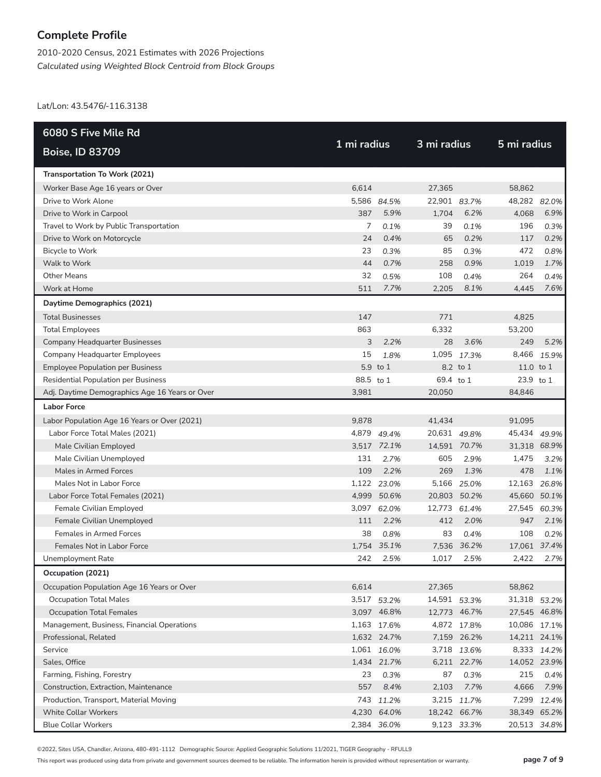2010-2020 Census, 2021 Estimates with 2026 Projections *Calculated using Weighted Block Centroid from Block Groups*

Lat/Lon: 43.5476/-116.3138

| 6080 S Five Mile Rd                            |             |             |              |             |              |             |
|------------------------------------------------|-------------|-------------|--------------|-------------|--------------|-------------|
| <b>Boise, ID 83709</b>                         | 1 mi radius |             | 3 mi radius  |             | 5 mi radius  |             |
| Transportation To Work (2021)                  |             |             |              |             |              |             |
| Worker Base Age 16 years or Over               | 6,614       |             | 27,365       |             | 58,862       |             |
| Drive to Work Alone                            |             | 5,586 84.5% | 22,901 83.7% |             | 48,282 82.0% |             |
| Drive to Work in Carpool                       | 387         | 5.9%        | 1,704        | 6.2%        | 4,068        | 6.9%        |
| Travel to Work by Public Transportation        | 7           | 0.1%        | 39           | 0.1%        | 196          | 0.3%        |
| Drive to Work on Motorcycle                    | 24          | 0.4%        | 65           | 0.2%        | 117          | 0.2%        |
| Bicycle to Work                                | 23          | 0.3%        | 85           | 0.3%        | 472          | 0.8%        |
| Walk to Work                                   | 44          | 0.7%        | 258          | 0.9%        | 1,019        | 1.7%        |
| <b>Other Means</b>                             | 32          | 0.5%        | 108          | 0.4%        | 264          | 0.4%        |
| Work at Home                                   | 511         | 7.7%        | 2,205        | 8.1%        | 4,445        | 7.6%        |
| Daytime Demographics (2021)                    |             |             |              |             |              |             |
| <b>Total Businesses</b>                        | 147         |             | 771          |             | 4,825        |             |
| <b>Total Employees</b>                         | 863         |             | 6,332        |             | 53,200       |             |
| <b>Company Headquarter Businesses</b>          | 3           | 2.2%        | 28           | 3.6%        | 249          | 5.2%        |
| <b>Company Headquarter Employees</b>           | 15          | 1.8%        | 1,095        | 17.3%       | 8,466        | 15.9%       |
| <b>Employee Population per Business</b>        |             | 5.9 to 1    |              | 8.2 to 1    | 11.0 to 1    |             |
| <b>Residential Population per Business</b>     | 88.5 to 1   |             | 69.4 to 1    |             | 23.9 to 1    |             |
| Adj. Daytime Demographics Age 16 Years or Over | 3,981       |             | 20,050       |             | 84,846       |             |
| <b>Labor Force</b>                             |             |             |              |             |              |             |
| Labor Population Age 16 Years or Over (2021)   | 9,878       |             | 41,434       |             | 91,095       |             |
| Labor Force Total Males (2021)                 |             | 4,879 49.4% | 20,631 49.8% |             | 45,434 49.9% |             |
| Male Civilian Employed                         |             | 3,517 72.1% | 14,591 70.7% |             | 31,318 68.9% |             |
| Male Civilian Unemployed                       | 131         | 2.7%        | 605          | 2.9%        | 1,475        | 3.2%        |
| Males in Armed Forces                          | 109         | 2.2%        | 269          | 1.3%        | 478          | 1.1%        |
| Males Not in Labor Force                       |             | 1,122 23.0% | 5,166        | 25.0%       | 12,163       | 26.8%       |
| Labor Force Total Females (2021)               | 4,999       | 50.6%       | 20,803       | 50.2%       | 45,660 50.1% |             |
| Female Civilian Employed                       | 3,097       | 62.0%       | 12,773       | 61.4%       | 27,545       | 60.3%       |
| Female Civilian Unemployed                     | 111         | 2.2%        | 412          | 2.0%        | 947          | 2.1%        |
| Females in Armed Forces                        | 38          | 0.8%        | 83           | 0.4%        | 108          | 0.2%        |
| Females Not in Labor Force                     |             | 1,754 35.1% | 7,536        | 36.2%       | 17,061 37.4% |             |
| Unemployment Rate                              | 242         | 2.5%        | 1,017        | 2.5%        | 2,422        | 2.7%        |
| Occupation (2021)                              |             |             |              |             |              |             |
| Occupation Population Age 16 Years or Over     | 6,614       |             | 27,365       |             | 58,862       |             |
| <b>Occupation Total Males</b>                  |             | 3,517 53.2% | 14,591 53.3% |             | 31,318 53.2% |             |
| <b>Occupation Total Females</b>                |             | 3,097 46.8% | 12,773 46.7% |             | 27,545 46.8% |             |
| Management, Business, Financial Operations     |             | 1,163 17.6% |              | 4,872 17.8% | 10,086 17.1% |             |
| Professional, Related                          |             | 1,632 24.7% |              | 7,159 26.2% | 14,211 24.1% |             |
| Service                                        |             | 1,061 16.0% |              | 3,718 13.6% |              | 8,333 14.2% |
| Sales, Office                                  |             | 1,434 21.7% |              | 6,211 22.7% | 14,052 23.9% |             |
| Farming, Fishing, Forestry                     | 23          | 0.3%        | 87           | 0.3%        | 215          | 0.4%        |
| Construction, Extraction, Maintenance          | 557         | 8.4%        | 2,103        | 7.7%        | 4,666        | 7.9%        |
| Production, Transport, Material Moving         |             | 743 11.2%   |              | 3,215 11.7% |              | 7,299 12.4% |
| <b>White Collar Workers</b>                    |             | 4,230 64.0% | 18,242 66.7% |             | 38,349 65.2% |             |
| <b>Blue Collar Workers</b>                     |             | 2,384 36.0% |              | 9,123 33.3% | 20,513 34.8% |             |

©2022, Sites USA, Chandler, Arizona, 480-491-1112 Demographic Source: Applied Geographic Solutions 11/2021, TIGER Geography - RFULL9

This report was produced using data from private and government sources deemed to be reliable. The information herein is provided without representation or warranty. **page 7 of 9**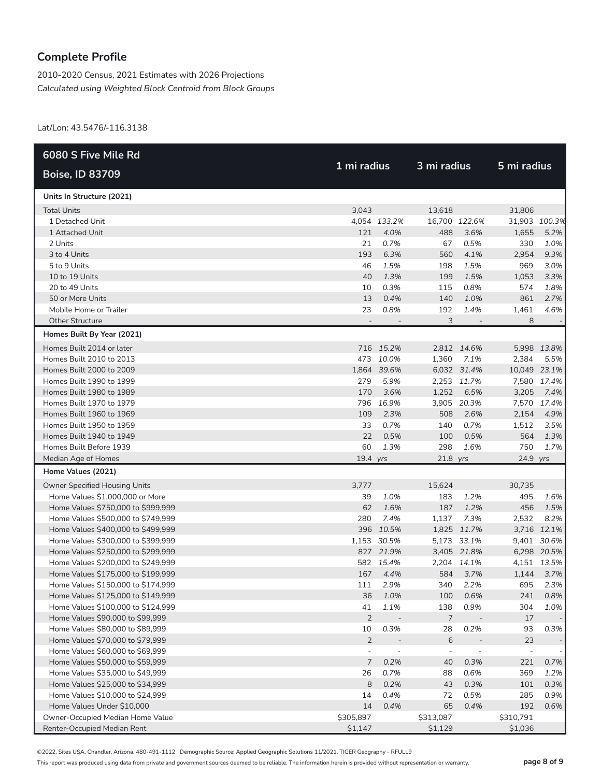2010-2020 Census, 2021 Estimates with 2026 Projections *Calculated using Weighted Block Centroid from Block Groups*

Lat/Lon: 43.5476/-116.3138

| 6080 S Five Mile Rd                  |                          |                          |                          |                          |                          |               |
|--------------------------------------|--------------------------|--------------------------|--------------------------|--------------------------|--------------------------|---------------|
| <b>Boise, ID 83709</b>               | 1 mi radius              |                          | 3 mi radius              |                          |                          | 5 mi radius   |
| Units In Structure (2021)            |                          |                          |                          |                          |                          |               |
| <b>Total Units</b>                   | 3,043                    |                          | 13,618                   |                          | 31,806                   |               |
| 1 Detached Unit                      |                          | 4,054 133.2%             |                          | 16,700 122.6%            |                          | 31,903 100.3% |
| 1 Attached Unit                      | 121                      | 4.0%                     | 488                      | 3.6%                     | 1,655                    | 5.2%          |
| 2 Units                              | 21                       | 0.7%                     | 67                       | 0.5%                     | 330                      | 1.0%          |
| 3 to 4 Units                         | 193                      | 6.3%                     | 560                      | 4.1%                     | 2,954                    | 9.3%          |
| 5 to 9 Units                         | 46                       | 1.5%                     | 198                      | 1.5%                     | 969                      | 3.0%          |
| 10 to 19 Units                       | 40                       | 1.3%                     | 199                      | 1.5%                     | 1,053                    | 3.3%          |
| 20 to 49 Units                       | 10                       | 0.3%                     | 115                      | 0.8%                     | 574                      | 1.8%          |
| 50 or More Units                     | 13                       | 0.4%                     | 140                      | 1.0%                     | 861                      | 2.7%          |
| Mobile Home or Trailer               | 23                       | 0.8%                     | 192                      | 1.4%                     | 1,461                    | 4.6%          |
| <b>Other Structure</b>               | $\overline{\phantom{a}}$ | $\overline{\phantom{a}}$ | 3                        | $\overline{\phantom{a}}$ | 8                        |               |
| Homes Built By Year (2021)           |                          |                          |                          |                          |                          |               |
| Homes Built 2014 or later            |                          | 716 15.2%                |                          | 2,812 14.6%              |                          | 5,998 13.8%   |
| Homes Built 2010 to 2013             |                          | 473 10.0%                | 1,360                    | 7.1%                     | 2,384                    | 5.5%          |
| Homes Built 2000 to 2009             |                          | 1,864 39.6%              |                          | 6,032 31.4%              | 10,049 23.1%             |               |
| Homes Built 1990 to 1999             | 279                      | 5.9%                     |                          | 2,253 11.7%              |                          | 7,580 17.4%   |
| Homes Built 1980 to 1989             | 170                      | 3.6%                     | 1,252                    | 6.5%                     | 3,205                    | 7.4%          |
| Homes Built 1970 to 1979             |                          | 796 16.9%                |                          | 3,905 20.3%              | 7,570                    | 17.4%         |
| Homes Built 1960 to 1969             | 109                      | 2.3%                     | 508                      | 2.6%                     | 2,154                    | 4.9%          |
| Homes Built 1950 to 1959             | 33                       | 0.7%                     | 140                      | 0.7%                     | 1,512                    | 3.5%          |
| Homes Built 1940 to 1949             | 22                       | 0.5%                     | 100                      | 0.5%                     | 564                      | 1.3%          |
| Homes Built Before 1939              | 60                       | 1.3%                     | 298                      | 1.6%                     | 750                      | 1.7%          |
| Median Age of Homes                  | $19.4$ yrs               |                          | $21.8$ yrs               |                          | 24.9 yrs                 |               |
| Home Values (2021)                   |                          |                          |                          |                          |                          |               |
| <b>Owner Specified Housing Units</b> | 3,777                    |                          | 15,624                   |                          | 30,735                   |               |
| Home Values \$1,000,000 or More      | 39                       | 1.0%                     | 183                      | 1.2%                     | 495                      | 1.6%          |
| Home Values \$750,000 to \$999,999   | 62                       | 1.6%                     | 187                      | 1.2%                     | 456                      | 1.5%          |
| Home Values \$500,000 to \$749,999   | 280                      | 7.4%                     | 1,137                    | 7.3%                     | 2,532                    | 8.2%          |
| Home Values \$400,000 to \$499,999   |                          | 396 10.5%                |                          | 1,825 11.7%              |                          | 3,716 12.1%   |
| Home Values \$300,000 to \$399,999   |                          | 1,153 30.5%              |                          | 5,173 33.1%              | 9,401                    | 30.6%         |
| Home Values \$250,000 to \$299,999   |                          | 827 21.9%                |                          | 3,405 21.8%              |                          | 6,298 20.5%   |
| Home Values \$200,000 to \$249,999   |                          | 582 15.4%                |                          | 2,204 14.1%              |                          | 4,151 13.5%   |
| Home Values \$175,000 to \$199,999   | 167                      | 4.4%                     | 584                      | 3.7%                     | 1,144                    | 3.7%          |
| Home Values \$150,000 to \$174,999   | 111                      | 2.9%                     | 340                      | 2.2%                     | 695                      | 2.3%          |
| Home Values \$125,000 to \$149,999   | 36                       | 1.0%                     | 100                      | 0.6%                     | 241                      | 0.8%          |
| Home Values \$100,000 to \$124,999   | 41                       | 1.1%                     | 138                      | 0.9%                     | 304                      | 1.0%          |
| Home Values \$90,000 to \$99,999     | $\overline{2}$           | $\overline{\phantom{a}}$ | $\overline{7}$           |                          | 17                       |               |
| Home Values \$80,000 to \$89,999     | 10                       | 0.3%                     | 28                       | 0.2%                     | 93                       | 0.3%          |
| Home Values \$70,000 to \$79,999     | $\overline{2}$           |                          | $\,$ 6                   |                          | 23                       |               |
| Home Values \$60,000 to \$69,999     | $\overline{\phantom{a}}$ | $\overline{\phantom{a}}$ | $\overline{\phantom{a}}$ | $\overline{a}$           | $\overline{\phantom{m}}$ |               |
| Home Values \$50,000 to \$59,999     | $\overline{7}$           | 0.2%                     | 40                       | 0.3%                     | 221                      | 0.7%          |
| Home Values \$35,000 to \$49,999     | 26                       | 0.7%                     | 88                       | 0.6%                     | 369                      | 1.2%          |
| Home Values \$25,000 to \$34,999     | 8                        | 0.2%                     | 43                       | 0.3%                     | 101                      | 0.3%          |
| Home Values \$10,000 to \$24,999     | 14                       | 0.4%                     | 72                       | 0.5%                     | 285                      | 0.9%          |
| Home Values Under \$10,000           | 14                       | 0.4%                     | 65                       | 0.4%                     | 192                      | 0.6%          |
| Owner-Occupied Median Home Value     | \$305,897                |                          | \$313,087                |                          | \$310,791                |               |
| Renter-Occupied Median Rent          | \$1,147                  |                          | \$1,129                  |                          | \$1,036                  |               |

©2022, Sites USA, Chandler, Arizona, 480-491-1112 Demographic Source: Applied Geographic Solutions 11/2021, TIGER Geography - RFULL9

This report was produced using data from private and government sources deemed to be reliable. The information herein is provided without representation or warranty. **page 8 of 9**